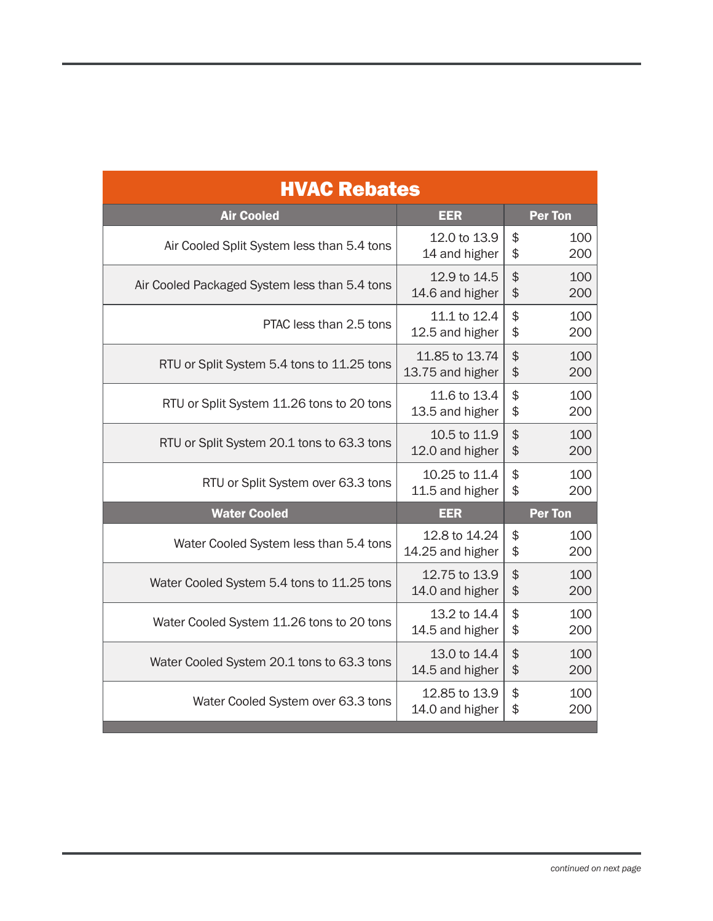| <b>HVAC Rebates</b>                           |                                    |                        |  |  |
|-----------------------------------------------|------------------------------------|------------------------|--|--|
| <b>Air Cooled</b>                             | <b>EER</b>                         | <b>Per Ton</b>         |  |  |
| Air Cooled Split System less than 5.4 tons    | 12.0 to 13.9<br>14 and higher      | \$<br>100<br>\$<br>200 |  |  |
| Air Cooled Packaged System less than 5.4 tons | 12.9 to 14.5<br>14.6 and higher    | \$<br>100<br>\$<br>200 |  |  |
| PTAC less than 2.5 tons                       | 11.1 to 12.4<br>12.5 and higher    | \$<br>100<br>\$<br>200 |  |  |
| RTU or Split System 5.4 tons to 11.25 tons    | 11.85 to 13.74<br>13.75 and higher | \$<br>100<br>\$<br>200 |  |  |
| RTU or Split System 11.26 tons to 20 tons     | 11.6 to 13.4<br>13.5 and higher    | \$<br>100<br>\$<br>200 |  |  |
| RTU or Split System 20.1 tons to 63.3 tons    | 10.5 to 11.9<br>12.0 and higher    | \$<br>100<br>\$<br>200 |  |  |
| RTU or Split System over 63.3 tons            | 10.25 to 11.4<br>11.5 and higher   | \$<br>100<br>\$<br>200 |  |  |
| <b>Water Cooled</b>                           | <b>EER</b>                         | <b>Per Ton</b>         |  |  |
| Water Cooled System less than 5.4 tons        | 12.8 to 14.24<br>14.25 and higher  | \$<br>100<br>\$<br>200 |  |  |
| Water Cooled System 5.4 tons to 11.25 tons    | 12.75 to 13.9<br>14.0 and higher   | \$<br>100<br>\$<br>200 |  |  |
| Water Cooled System 11.26 tons to 20 tons     | 13.2 to 14.4<br>14.5 and higher    | \$<br>100<br>\$<br>200 |  |  |
| Water Cooled System 20.1 tons to 63.3 tons    | 13.0 to 14.4<br>14.5 and higher    | \$<br>100<br>\$<br>200 |  |  |
| Water Cooled System over 63.3 tons            | 12.85 to 13.9<br>14.0 and higher   | \$<br>100<br>\$<br>200 |  |  |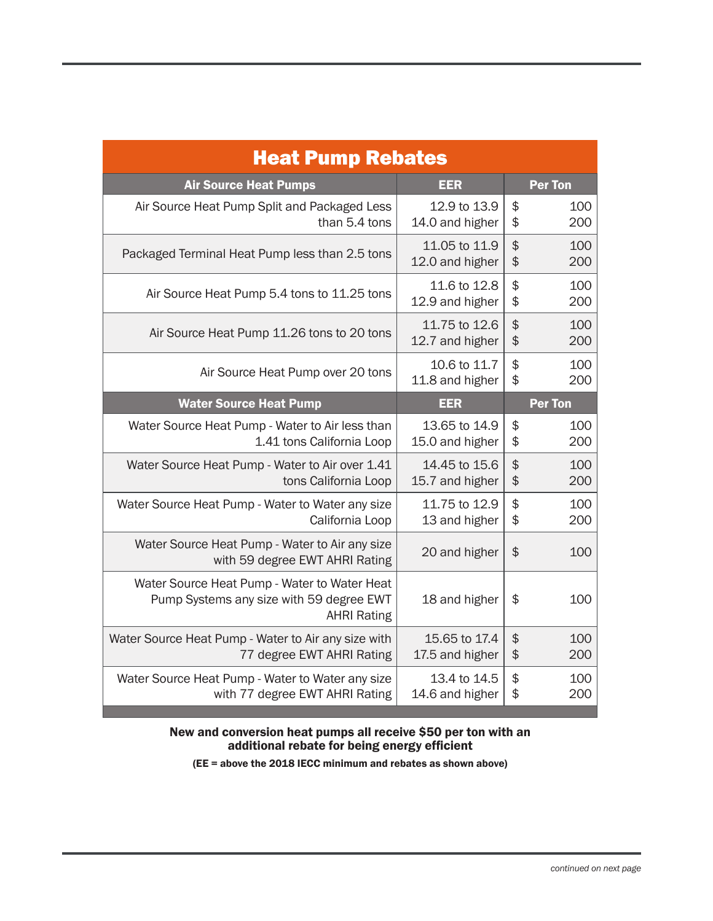| <b>Heat Pump Rebates</b>                                                                                       |                                  |                                   |  |  |
|----------------------------------------------------------------------------------------------------------------|----------------------------------|-----------------------------------|--|--|
| <b>Air Source Heat Pumps</b>                                                                                   | EER                              | <b>Per Ton</b>                    |  |  |
| Air Source Heat Pump Split and Packaged Less<br>than 5.4 tons                                                  | 12.9 to 13.9<br>14.0 and higher  | \$<br>100<br>\$<br>200            |  |  |
| Packaged Terminal Heat Pump less than 2.5 tons                                                                 | 11.05 to 11.9<br>12.0 and higher | \$<br>100<br>\$<br>200            |  |  |
| Air Source Heat Pump 5.4 tons to 11.25 tons                                                                    | 11.6 to 12.8<br>12.9 and higher  | \$<br>100<br>\$<br>200            |  |  |
| Air Source Heat Pump 11.26 tons to 20 tons                                                                     | 11.75 to 12.6<br>12.7 and higher | \$<br>100<br>\$<br>200            |  |  |
| Air Source Heat Pump over 20 tons                                                                              | 10.6 to 11.7<br>11.8 and higher  | \$<br>100<br>\$<br>200            |  |  |
| <b>Water Source Heat Pump</b>                                                                                  | EER                              | <b>Per Ton</b>                    |  |  |
| Water Source Heat Pump - Water to Air less than<br>1.41 tons California Loop                                   | 13.65 to 14.9<br>15.0 and higher | $\frac{1}{2}$<br>100<br>\$<br>200 |  |  |
| Water Source Heat Pump - Water to Air over 1.41<br>tons California Loop                                        | 14.45 to 15.6<br>15.7 and higher | \$<br>100<br>\$<br>200            |  |  |
| Water Source Heat Pump - Water to Water any size<br>California Loop                                            | 11.75 to 12.9<br>13 and higher   | \$<br>100<br>\$<br>200            |  |  |
| Water Source Heat Pump - Water to Air any size<br>with 59 degree EWT AHRI Rating                               | 20 and higher                    | $\frac{1}{2}$<br>100              |  |  |
| Water Source Heat Pump - Water to Water Heat<br>Pump Systems any size with 59 degree EWT<br><b>AHRI Rating</b> | 18 and higher                    | \$<br>100                         |  |  |
| Water Source Heat Pump - Water to Air any size with<br>77 degree EWT AHRI Rating                               | 15.65 to 17.4<br>17.5 and higher | $\frac{1}{2}$<br>100<br>\$<br>200 |  |  |
| Water Source Heat Pump - Water to Water any size<br>with 77 degree EWT AHRI Rating                             | 13.4 to 14.5<br>14.6 and higher  | \$<br>100<br>\$<br>200            |  |  |

## New and conversion heat pumps all receive \$50 per ton with an additional rebate for being energy efficient

(EE = above the 2018 IECC minimum and rebates as shown above)